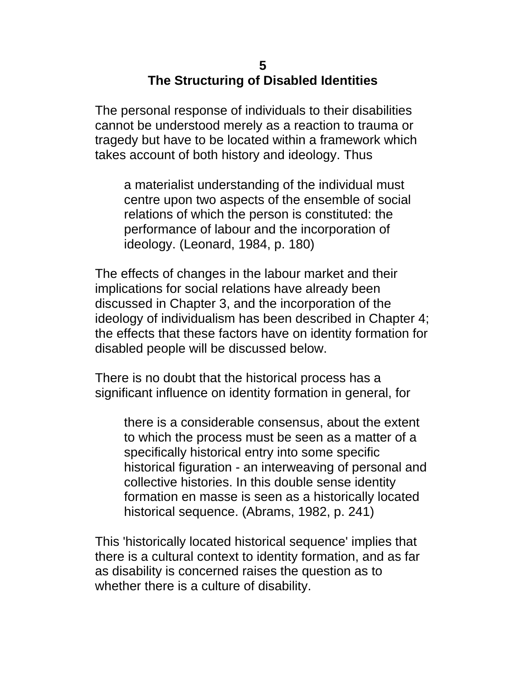#### **5 The Structuring of Disabled Identities**

The personal response of individuals to their disabilities cannot be understood merely as a reaction to trauma or tragedy but have to be located within a framework which takes account of both history and ideology. Thus

a materialist understanding of the individual must centre upon two aspects of the ensemble of social relations of which the person is constituted: the performance of labour and the incorporation of ideology. (Leonard, 1984, p. 180)

The effects of changes in the labour market and their implications for social relations have already been discussed in Chapter 3, and the incorporation of the ideology of individualism has been described in Chapter 4; the effects that these factors have on identity formation for disabled people will be discussed below.

There is no doubt that the historical process has a significant influence on identity formation in general, for

there is a considerable consensus, about the extent to which the process must be seen as a matter of a specifically historical entry into some specific historical figuration - an interweaving of personal and collective histories. In this double sense identity formation en masse is seen as a historically located historical sequence. (Abrams, 1982, p. 241)

This 'historically located historical sequence' implies that there is a cultural context to identity formation, and as far as disability is concerned raises the question as to whether there is a culture of disability.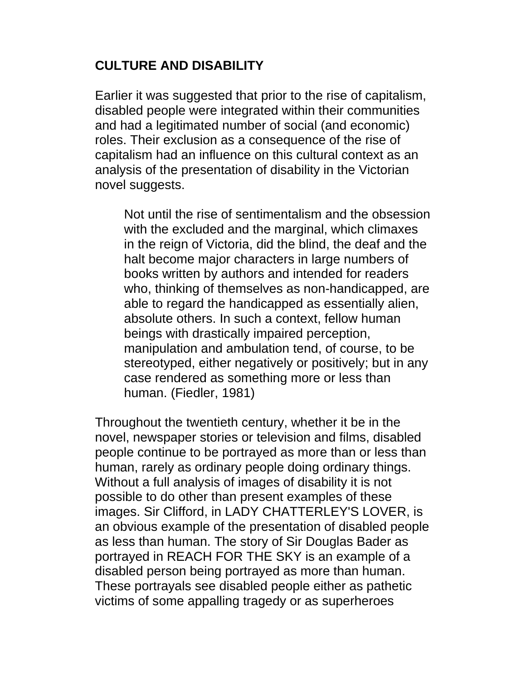# **CULTURE AND DISABILITY**

Earlier it was suggested that prior to the rise of capitalism, disabled people were integrated within their communities and had a legitimated number of social (and economic) roles. Their exclusion as a consequence of the rise of capitalism had an influence on this cultural context as an analysis of the presentation of disability in the Victorian novel suggests.

Not until the rise of sentimentalism and the obsession with the excluded and the marginal, which climaxes in the reign of Victoria, did the blind, the deaf and the halt become major characters in large numbers of books written by authors and intended for readers who, thinking of themselves as non-handicapped, are able to regard the handicapped as essentially alien, absolute others. In such a context, fellow human beings with drastically impaired perception, manipulation and ambulation tend, of course, to be stereotyped, either negatively or positively; but in any case rendered as something more or less than human. (Fiedler, 1981)

Throughout the twentieth century, whether it be in the novel, newspaper stories or television and films, disabled people continue to be portrayed as more than or less than human, rarely as ordinary people doing ordinary things. Without a full analysis of images of disability it is not possible to do other than present examples of these images. Sir Clifford, in LADY CHATTERLEY'S LOVER, is an obvious example of the presentation of disabled people as less than human. The story of Sir Douglas Bader as portrayed in REACH FOR THE SKY is an example of a disabled person being portrayed as more than human. These portrayals see disabled people either as pathetic victims of some appalling tragedy or as superheroes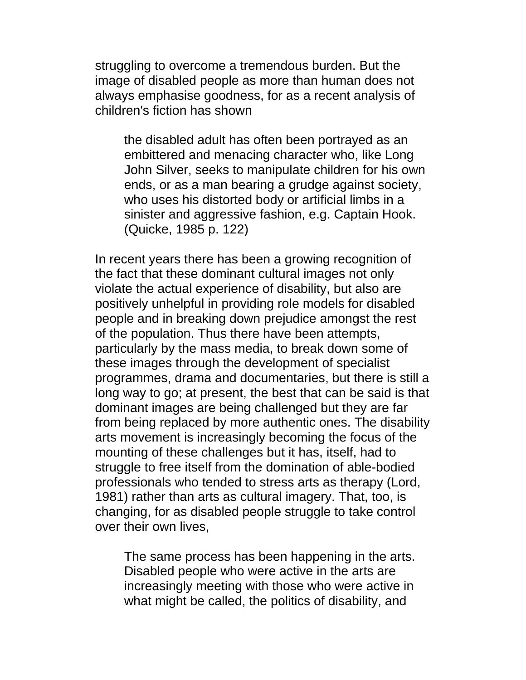struggling to overcome a tremendous burden. But the image of disabled people as more than human does not always emphasise goodness, for as a recent analysis of children's fiction has shown

the disabled adult has often been portrayed as an embittered and menacing character who, like Long John Silver, seeks to manipulate children for his own ends, or as a man bearing a grudge against society, who uses his distorted body or artificial limbs in a sinister and aggressive fashion, e.g. Captain Hook. (Quicke, 1985 p. 122)

In recent years there has been a growing recognition of the fact that these dominant cultural images not only violate the actual experience of disability, but also are positively unhelpful in providing role models for disabled people and in breaking down prejudice amongst the rest of the population. Thus there have been attempts, particularly by the mass media, to break down some of these images through the development of specialist programmes, drama and documentaries, but there is still a long way to go; at present, the best that can be said is that dominant images are being challenged but they are far from being replaced by more authentic ones. The disability arts movement is increasingly becoming the focus of the mounting of these challenges but it has, itself, had to struggle to free itself from the domination of able-bodied professionals who tended to stress arts as therapy (Lord, 1981) rather than arts as cultural imagery. That, too, is changing, for as disabled people struggle to take control over their own lives,

The same process has been happening in the arts. Disabled people who were active in the arts are increasingly meeting with those who were active in what might be called, the politics of disability, and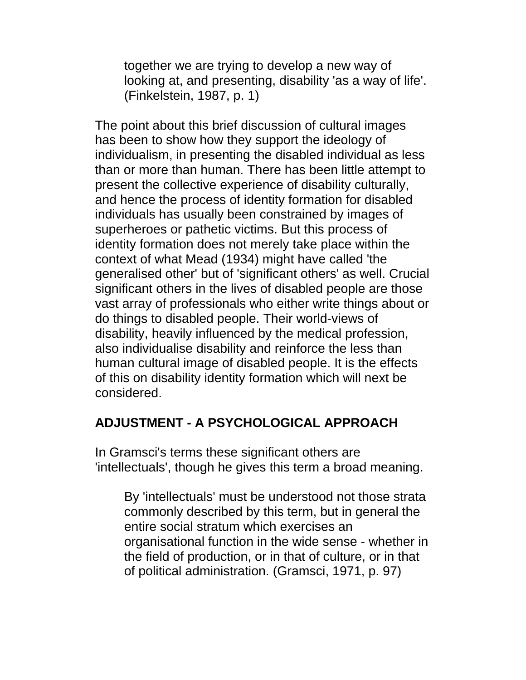together we are trying to develop a new way of looking at, and presenting, disability 'as a way of life'. (Finkelstein, 1987, p. 1)

The point about this brief discussion of cultural images has been to show how they support the ideology of individualism, in presenting the disabled individual as less than or more than human. There has been little attempt to present the collective experience of disability culturally, and hence the process of identity formation for disabled individuals has usually been constrained by images of superheroes or pathetic victims. But this process of identity formation does not merely take place within the context of what Mead (1934) might have called 'the generalised other' but of 'significant others' as well. Crucial significant others in the lives of disabled people are those vast array of professionals who either write things about or do things to disabled people. Their world-views of disability, heavily influenced by the medical profession, also individualise disability and reinforce the less than human cultural image of disabled people. It is the effects of this on disability identity formation which will next be considered.

### **ADJUSTMENT - A PSYCHOLOGICAL APPROACH**

In Gramsci's terms these significant others are 'intellectuals', though he gives this term a broad meaning.

By 'intellectuals' must be understood not those strata commonly described by this term, but in general the entire social stratum which exercises an organisational function in the wide sense - whether in the field of production, or in that of culture, or in that of political administration. (Gramsci, 1971, p. 97)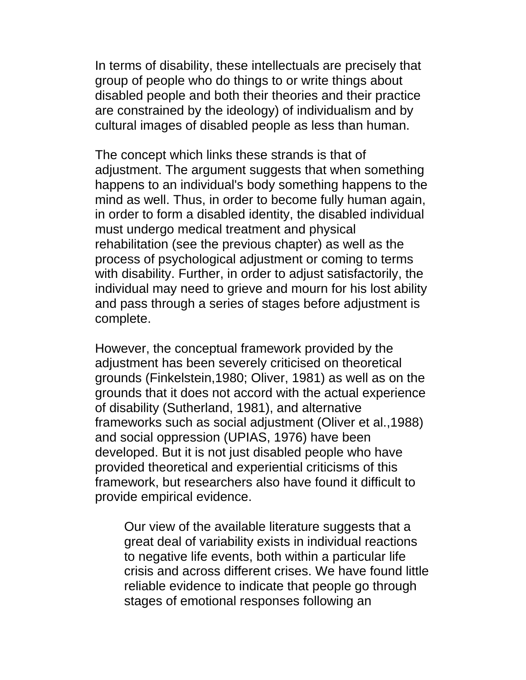In terms of disability, these intellectuals are precisely that group of people who do things to or write things about disabled people and both their theories and their practice are constrained by the ideology) of individualism and by cultural images of disabled people as less than human.

The concept which links these strands is that of adjustment. The argument suggests that when something happens to an individual's body something happens to the mind as well. Thus, in order to become fully human again, in order to form a disabled identity, the disabled individual must undergo medical treatment and physical rehabilitation (see the previous chapter) as well as the process of psychological adjustment or coming to terms with disability. Further, in order to adjust satisfactorily, the individual may need to grieve and mourn for his lost ability and pass through a series of stages before adjustment is complete.

However, the conceptual framework provided by the adjustment has been severely criticised on theoretical grounds (Finkelstein,1980; Oliver, 1981) as well as on the grounds that it does not accord with the actual experience of disability (Sutherland, 1981), and alternative frameworks such as social adjustment (Oliver et al.,1988) and social oppression (UPIAS, 1976) have been developed. But it is not just disabled people who have provided theoretical and experiential criticisms of this framework, but researchers also have found it difficult to provide empirical evidence.

Our view of the available literature suggests that a great deal of variability exists in individual reactions to negative life events, both within a particular life crisis and across different crises. We have found little reliable evidence to indicate that people go through stages of emotional responses following an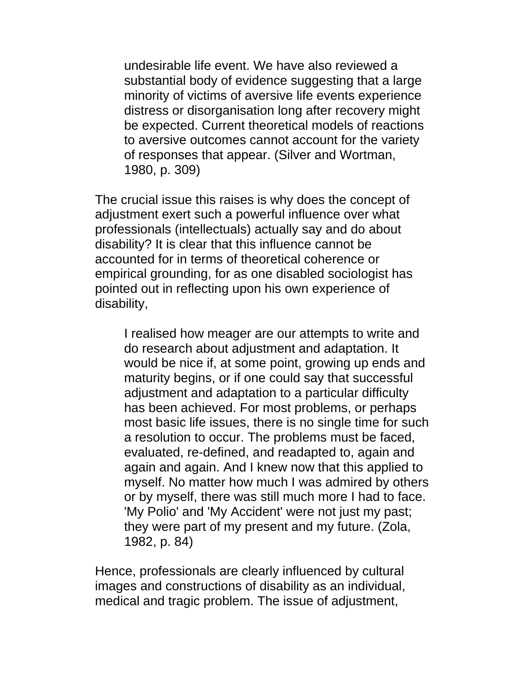undesirable life event. We have also reviewed a substantial body of evidence suggesting that a large minority of victims of aversive life events experience distress or disorganisation long after recovery might be expected. Current theoretical models of reactions to aversive outcomes cannot account for the variety of responses that appear. (Silver and Wortman, 1980, p. 309)

The crucial issue this raises is why does the concept of adjustment exert such a powerful influence over what professionals (intellectuals) actually say and do about disability? It is clear that this influence cannot be accounted for in terms of theoretical coherence or empirical grounding, for as one disabled sociologist has pointed out in reflecting upon his own experience of disability,

I realised how meager are our attempts to write and do research about adjustment and adaptation. It would be nice if, at some point, growing up ends and maturity begins, or if one could say that successful adjustment and adaptation to a particular difficulty has been achieved. For most problems, or perhaps most basic life issues, there is no single time for such a resolution to occur. The problems must be faced, evaluated, re-defined, and readapted to, again and again and again. And I knew now that this applied to myself. No matter how much I was admired by others or by myself, there was still much more I had to face. 'My Polio' and 'My Accident' were not just my past; they were part of my present and my future. (Zola, 1982, p. 84)

Hence, professionals are clearly influenced by cultural images and constructions of disability as an individual, medical and tragic problem. The issue of adjustment,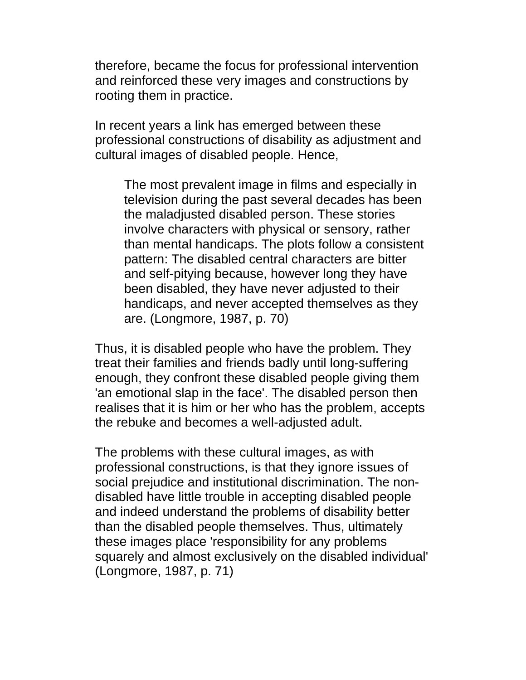therefore, became the focus for professional intervention and reinforced these very images and constructions by rooting them in practice.

In recent years a link has emerged between these professional constructions of disability as adjustment and cultural images of disabled people. Hence,

The most prevalent image in films and especially in television during the past several decades has been the maladjusted disabled person. These stories involve characters with physical or sensory, rather than mental handicaps. The plots follow a consistent pattern: The disabled central characters are bitter and self-pitying because, however long they have been disabled, they have never adjusted to their handicaps, and never accepted themselves as they are. (Longmore, 1987, p. 70)

Thus, it is disabled people who have the problem. They treat their families and friends badly until long-suffering enough, they confront these disabled people giving them 'an emotional slap in the face'. The disabled person then realises that it is him or her who has the problem, accepts the rebuke and becomes a well-adjusted adult.

The problems with these cultural images, as with professional constructions, is that they ignore issues of social prejudice and institutional discrimination. The nondisabled have little trouble in accepting disabled people and indeed understand the problems of disability better than the disabled people themselves. Thus, ultimately these images place 'responsibility for any problems squarely and almost exclusively on the disabled individual' (Longmore, 1987, p. 71)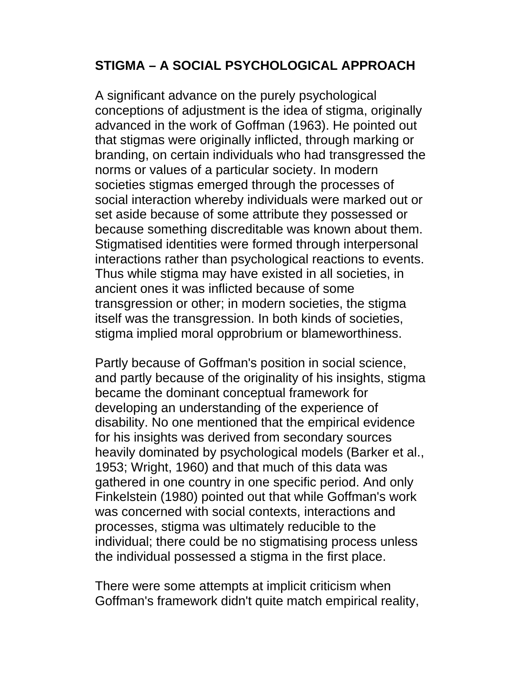#### **STIGMA – A SOCIAL PSYCHOLOGICAL APPROACH**

A significant advance on the purely psychological conceptions of adjustment is the idea of stigma, originally advanced in the work of Goffman (1963). He pointed out that stigmas were originally inflicted, through marking or branding, on certain individuals who had transgressed the norms or values of a particular society. In modern societies stigmas emerged through the processes of social interaction whereby individuals were marked out or set aside because of some attribute they possessed or because something discreditable was known about them. Stigmatised identities were formed through interpersonal interactions rather than psychological reactions to events. Thus while stigma may have existed in all societies, in ancient ones it was inflicted because of some transgression or other; in modern societies, the stigma itself was the transgression. In both kinds of societies, stigma implied moral opprobrium or blameworthiness.

Partly because of Goffman's position in social science, and partly because of the originality of his insights, stigma became the dominant conceptual framework for developing an understanding of the experience of disability. No one mentioned that the empirical evidence for his insights was derived from secondary sources heavily dominated by psychological models (Barker et al., 1953; Wright, 1960) and that much of this data was gathered in one country in one specific period. And only Finkelstein (1980) pointed out that while Goffman's work was concerned with social contexts, interactions and processes, stigma was ultimately reducible to the individual; there could be no stigmatising process unless the individual possessed a stigma in the first place.

There were some attempts at implicit criticism when Goffman's framework didn't quite match empirical reality,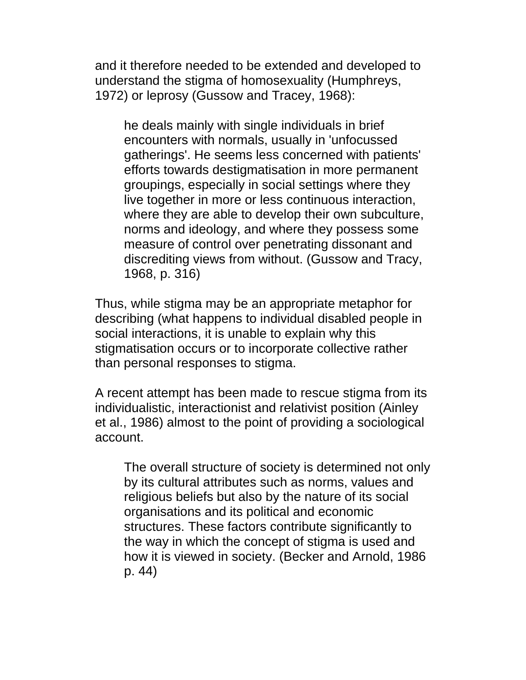and it therefore needed to be extended and developed to understand the stigma of homosexuality (Humphreys, 1972) or leprosy (Gussow and Tracey, 1968):

he deals mainly with single individuals in brief encounters with normals, usually in 'unfocussed gatherings'. He seems less concerned with patients' efforts towards destigmatisation in more permanent groupings, especially in social settings where they live together in more or less continuous interaction, where they are able to develop their own subculture, norms and ideology, and where they possess some measure of control over penetrating dissonant and discrediting views from without. (Gussow and Tracy, 1968, p. 316)

Thus, while stigma may be an appropriate metaphor for describing (what happens to individual disabled people in social interactions, it is unable to explain why this stigmatisation occurs or to incorporate collective rather than personal responses to stigma.

A recent attempt has been made to rescue stigma from its individualistic, interactionist and relativist position (Ainley et al., 1986) almost to the point of providing a sociological account.

The overall structure of society is determined not only by its cultural attributes such as norms, values and religious beliefs but also by the nature of its social organisations and its political and economic structures. These factors contribute significantly to the way in which the concept of stigma is used and how it is viewed in society. (Becker and Arnold, 1986 p. 44)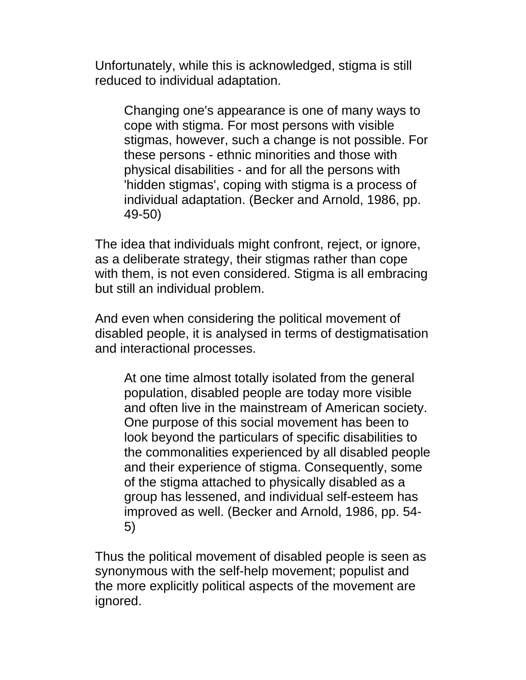Unfortunately, while this is acknowledged, stigma is still reduced to individual adaptation.

Changing one's appearance is one of many ways to cope with stigma. For most persons with visible stigmas, however, such a change is not possible. For these persons - ethnic minorities and those with physical disabilities - and for all the persons with 'hidden stigmas', coping with stigma is a process of individual adaptation. (Becker and Arnold, 1986, pp. 49-50)

The idea that individuals might confront, reject, or ignore, as a deliberate strategy, their stigmas rather than cope with them, is not even considered. Stigma is all embracing but still an individual problem.

And even when considering the political movement of disabled people, it is analysed in terms of destigmatisation and interactional processes.

At one time almost totally isolated from the general population, disabled people are today more visible and often live in the mainstream of American society. One purpose of this social movement has been to look beyond the particulars of specific disabilities to the commonalities experienced by all disabled people and their experience of stigma. Consequently, some of the stigma attached to physically disabled as a group has lessened, and individual self-esteem has improved as well. (Becker and Arnold, 1986, pp. 54- 5)

Thus the political movement of disabled people is seen as synonymous with the self-help movement; populist and the more explicitly political aspects of the movement are ignored.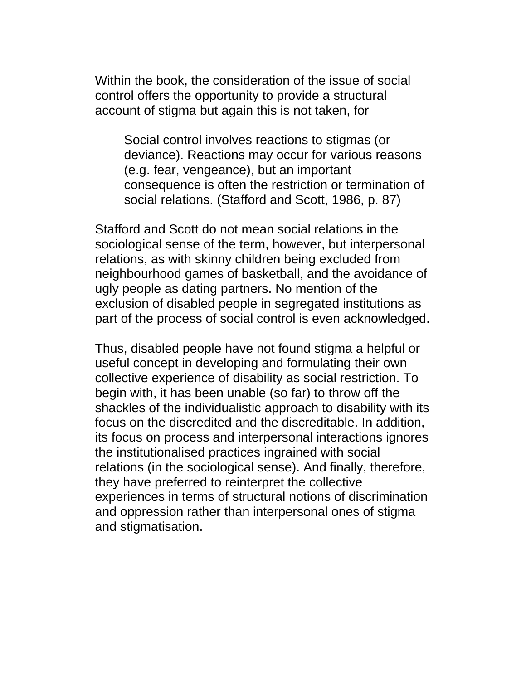Within the book, the consideration of the issue of social control offers the opportunity to provide a structural account of stigma but again this is not taken, for

Social control involves reactions to stigmas (or deviance). Reactions may occur for various reasons (e.g. fear, vengeance), but an important consequence is often the restriction or termination of social relations. (Stafford and Scott, 1986, p. 87)

Stafford and Scott do not mean social relations in the sociological sense of the term, however, but interpersonal relations, as with skinny children being excluded from neighbourhood games of basketball, and the avoidance of ugly people as dating partners. No mention of the exclusion of disabled people in segregated institutions as part of the process of social control is even acknowledged.

Thus, disabled people have not found stigma a helpful or useful concept in developing and formulating their own collective experience of disability as social restriction. To begin with, it has been unable (so far) to throw off the shackles of the individualistic approach to disability with its focus on the discredited and the discreditable. In addition, its focus on process and interpersonal interactions ignores the institutionalised practices ingrained with social relations (in the sociological sense). And finally, therefore, they have preferred to reinterpret the collective experiences in terms of structural notions of discrimination and oppression rather than interpersonal ones of stigma and stigmatisation.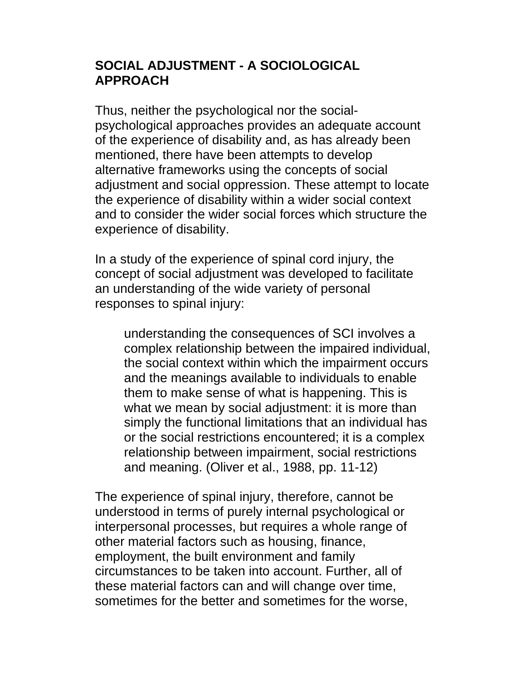### **SOCIAL ADJUSTMENT - A SOCIOLOGICAL APPROACH**

Thus, neither the psychological nor the socialpsychological approaches provides an adequate account of the experience of disability and, as has already been mentioned, there have been attempts to develop alternative frameworks using the concepts of social adjustment and social oppression. These attempt to locate the experience of disability within a wider social context and to consider the wider social forces which structure the experience of disability.

In a study of the experience of spinal cord injury, the concept of social adjustment was developed to facilitate an understanding of the wide variety of personal responses to spinal injury:

understanding the consequences of SCI involves a complex relationship between the impaired individual, the social context within which the impairment occurs and the meanings available to individuals to enable them to make sense of what is happening. This is what we mean by social adjustment: it is more than simply the functional limitations that an individual has or the social restrictions encountered; it is a complex relationship between impairment, social restrictions and meaning. (Oliver et al., 1988, pp. 11-12)

The experience of spinal injury, therefore, cannot be understood in terms of purely internal psychological or interpersonal processes, but requires a whole range of other material factors such as housing, finance, employment, the built environment and family circumstances to be taken into account. Further, all of these material factors can and will change over time, sometimes for the better and sometimes for the worse,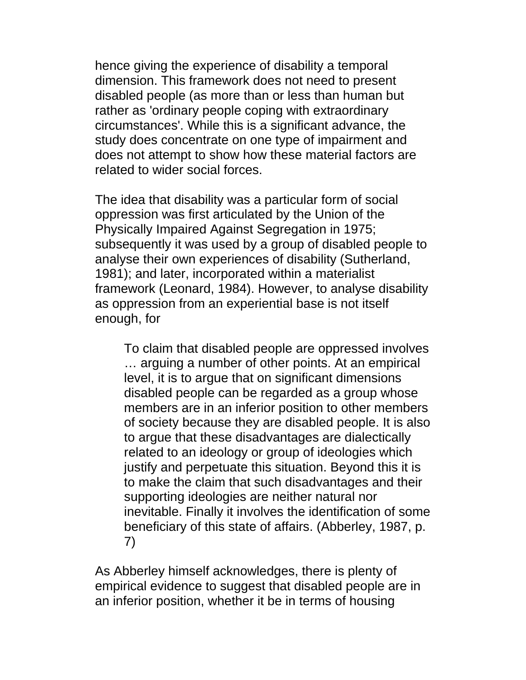hence giving the experience of disability a temporal dimension. This framework does not need to present disabled people (as more than or less than human but rather as 'ordinary people coping with extraordinary circumstances'. While this is a significant advance, the study does concentrate on one type of impairment and does not attempt to show how these material factors are related to wider social forces.

The idea that disability was a particular form of social oppression was first articulated by the Union of the Physically Impaired Against Segregation in 1975; subsequently it was used by a group of disabled people to analyse their own experiences of disability (Sutherland, 1981); and later, incorporated within a materialist framework (Leonard, 1984). However, to analyse disability as oppression from an experiential base is not itself enough, for

To claim that disabled people are oppressed involves … arguing a number of other points. At an empirical level, it is to argue that on significant dimensions disabled people can be regarded as a group whose members are in an inferior position to other members of society because they are disabled people. It is also to argue that these disadvantages are dialectically related to an ideology or group of ideologies which justify and perpetuate this situation. Beyond this it is to make the claim that such disadvantages and their supporting ideologies are neither natural nor inevitable. Finally it involves the identification of some beneficiary of this state of affairs. (Abberley, 1987, p. 7)

As Abberley himself acknowledges, there is plenty of empirical evidence to suggest that disabled people are in an inferior position, whether it be in terms of housing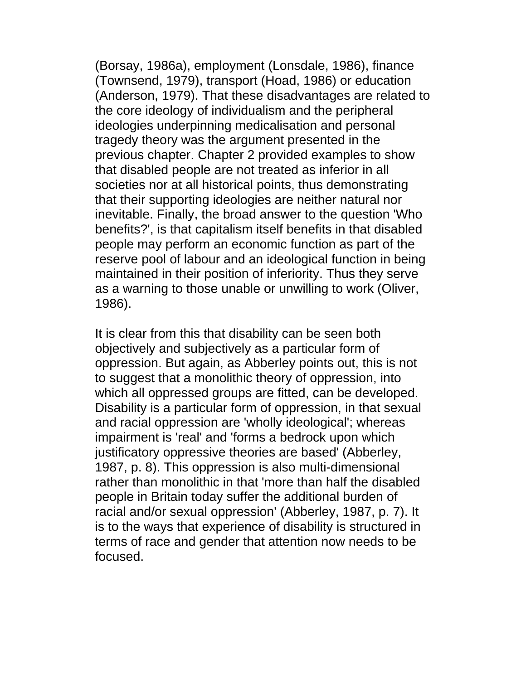(Borsay, 1986a), employment (Lonsdale, 1986), finance (Townsend, 1979), transport (Hoad, 1986) or education (Anderson, 1979). That these disadvantages are related to the core ideology of individualism and the peripheral ideologies underpinning medicalisation and personal tragedy theory was the argument presented in the previous chapter. Chapter 2 provided examples to show that disabled people are not treated as inferior in all societies nor at all historical points, thus demonstrating that their supporting ideologies are neither natural nor inevitable. Finally, the broad answer to the question 'Who benefits?', is that capitalism itself benefits in that disabled people may perform an economic function as part of the reserve pool of labour and an ideological function in being maintained in their position of inferiority. Thus they serve as a warning to those unable or unwilling to work (Oliver, 1986).

It is clear from this that disability can be seen both objectively and subjectively as a particular form of oppression. But again, as Abberley points out, this is not to suggest that a monolithic theory of oppression, into which all oppressed groups are fitted, can be developed. Disability is a particular form of oppression, in that sexual and racial oppression are 'wholly ideological'; whereas impairment is 'real' and 'forms a bedrock upon which justificatory oppressive theories are based' (Abberley, 1987, p. 8). This oppression is also multi-dimensional rather than monolithic in that 'more than half the disabled people in Britain today suffer the additional burden of racial and/or sexual oppression' (Abberley, 1987, p. 7). It is to the ways that experience of disability is structured in terms of race and gender that attention now needs to be focused.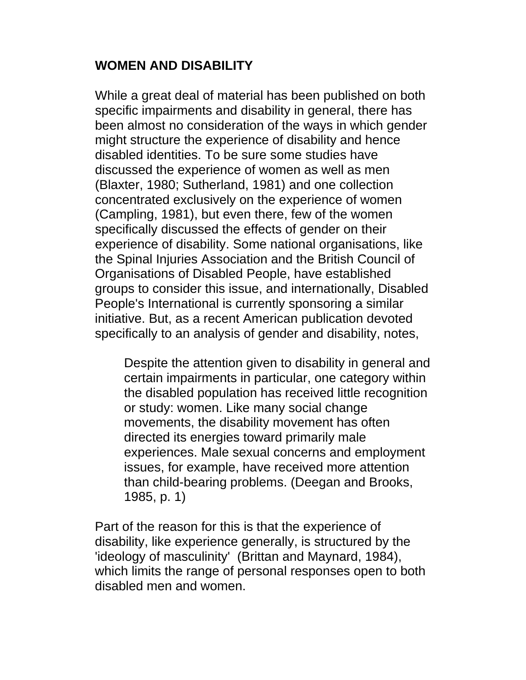## **WOMEN AND DISABILITY**

While a great deal of material has been published on both specific impairments and disability in general, there has been almost no consideration of the ways in which gender might structure the experience of disability and hence disabled identities. To be sure some studies have discussed the experience of women as well as men (Blaxter, 1980; Sutherland, 1981) and one collection concentrated exclusively on the experience of women (Campling, 1981), but even there, few of the women specifically discussed the effects of gender on their experience of disability. Some national organisations, like the Spinal Injuries Association and the British Council of Organisations of Disabled People, have established groups to consider this issue, and internationally, Disabled People's International is currently sponsoring a similar initiative. But, as a recent American publication devoted specifically to an analysis of gender and disability, notes,

Despite the attention given to disability in general and certain impairments in particular, one category within the disabled population has received little recognition or study: women. Like many social change movements, the disability movement has often directed its energies toward primarily male experiences. Male sexual concerns and employment issues, for example, have received more attention than child-bearing problems. (Deegan and Brooks, 1985, p. 1)

Part of the reason for this is that the experience of disability, like experience generally, is structured by the 'ideology of masculinity' (Brittan and Maynard, 1984), which limits the range of personal responses open to both disabled men and women.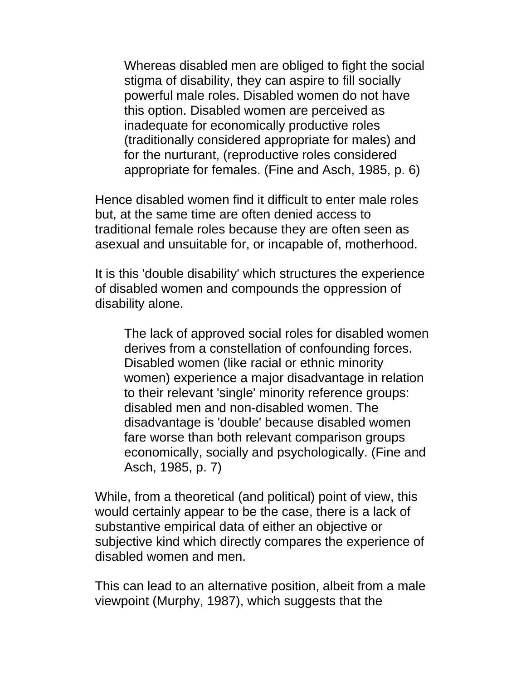Whereas disabled men are obliged to fight the social stigma of disability, they can aspire to fill socially powerful male roles. Disabled women do not have this option. Disabled women are perceived as inadequate for economically productive roles (traditionally considered appropriate for males) and for the nurturant, (reproductive roles considered appropriate for females. (Fine and Asch, 1985, p. 6)

Hence disabled women find it difficult to enter male roles but, at the same time are often denied access to traditional female roles because they are often seen as asexual and unsuitable for, or incapable of, motherhood.

It is this 'double disability' which structures the experience of disabled women and compounds the oppression of disability alone.

The lack of approved social roles for disabled women derives from a constellation of confounding forces. Disabled women (like racial or ethnic minority women) experience a major disadvantage in relation to their relevant 'single' minority reference groups: disabled men and non-disabled women. The disadvantage is 'double' because disabled women fare worse than both relevant comparison groups economically, socially and psychologically. (Fine and Asch, 1985, p. 7)

While, from a theoretical (and political) point of view, this would certainly appear to be the case, there is a lack of substantive empirical data of either an objective or subjective kind which directly compares the experience of disabled women and men.

This can lead to an alternative position, albeit from a male viewpoint (Murphy, 1987), which suggests that the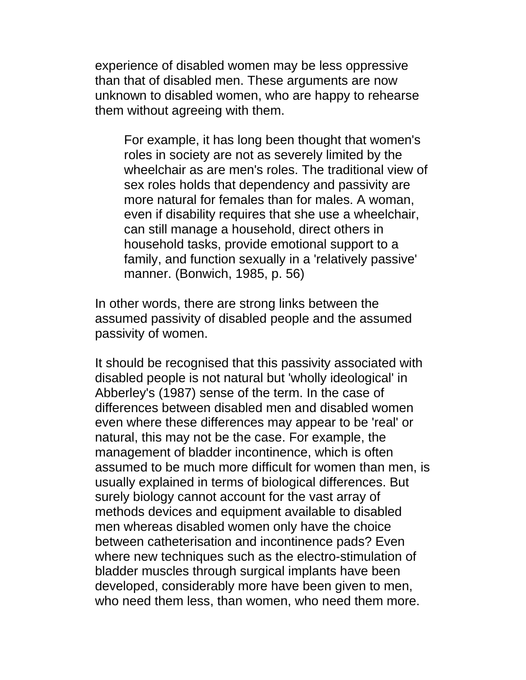experience of disabled women may be less oppressive than that of disabled men. These arguments are now unknown to disabled women, who are happy to rehearse them without agreeing with them.

For example, it has long been thought that women's roles in society are not as severely limited by the wheelchair as are men's roles. The traditional view of sex roles holds that dependency and passivity are more natural for females than for males. A woman, even if disability requires that she use a wheelchair, can still manage a household, direct others in household tasks, provide emotional support to a family, and function sexually in a 'relatively passive' manner. (Bonwich, 1985, p. 56)

In other words, there are strong links between the assumed passivity of disabled people and the assumed passivity of women.

It should be recognised that this passivity associated with disabled people is not natural but 'wholly ideological' in Abberley's (1987) sense of the term. In the case of differences between disabled men and disabled women even where these differences may appear to be 'real' or natural, this may not be the case. For example, the management of bladder incontinence, which is often assumed to be much more difficult for women than men, is usually explained in terms of biological differences. But surely biology cannot account for the vast array of methods devices and equipment available to disabled men whereas disabled women only have the choice between catheterisation and incontinence pads? Even where new techniques such as the electro-stimulation of bladder muscles through surgical implants have been developed, considerably more have been given to men, who need them less, than women, who need them more.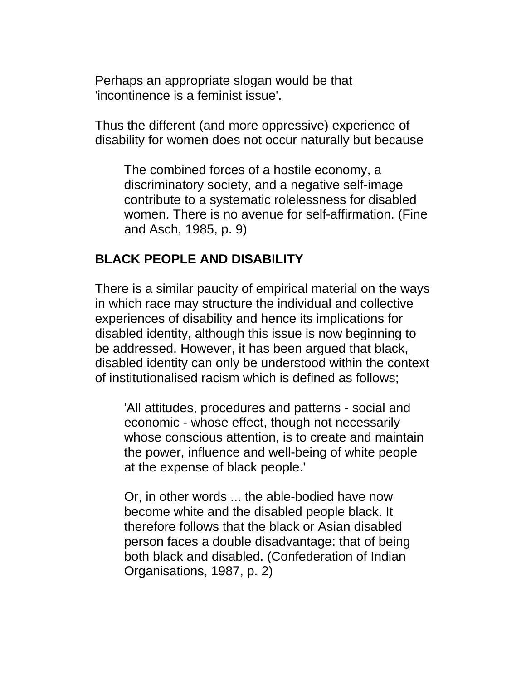Perhaps an appropriate slogan would be that 'incontinence is a feminist issue'.

Thus the different (and more oppressive) experience of disability for women does not occur naturally but because

The combined forces of a hostile economy, a discriminatory society, and a negative self-image contribute to a systematic rolelessness for disabled women. There is no avenue for self-affirmation. (Fine and Asch, 1985, p. 9)

### **BLACK PEOPLE AND DISABILITY**

There is a similar paucity of empirical material on the ways in which race may structure the individual and collective experiences of disability and hence its implications for disabled identity, although this issue is now beginning to be addressed. However, it has been argued that black, disabled identity can only be understood within the context of institutionalised racism which is defined as follows;

'All attitudes, procedures and patterns - social and economic - whose effect, though not necessarily whose conscious attention, is to create and maintain the power, influence and well-being of white people at the expense of black people.'

Or, in other words ... the able-bodied have now become white and the disabled people black. It therefore follows that the black or Asian disabled person faces a double disadvantage: that of being both black and disabled. (Confederation of Indian Organisations, 1987, p. 2)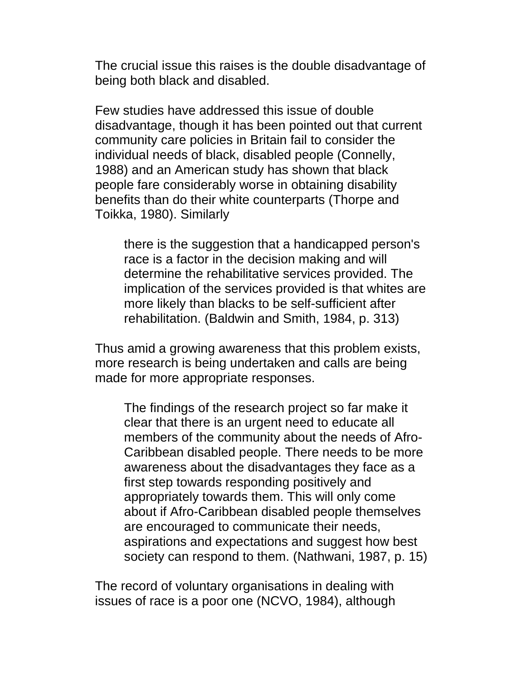The crucial issue this raises is the double disadvantage of being both black and disabled.

Few studies have addressed this issue of double disadvantage, though it has been pointed out that current community care policies in Britain fail to consider the individual needs of black, disabled people (Connelly, 1988) and an American study has shown that black people fare considerably worse in obtaining disability benefits than do their white counterparts (Thorpe and Toikka, 1980). Similarly

there is the suggestion that a handicapped person's race is a factor in the decision making and will determine the rehabilitative services provided. The implication of the services provided is that whites are more likely than blacks to be self-sufficient after rehabilitation. (Baldwin and Smith, 1984, p. 313)

Thus amid a growing awareness that this problem exists, more research is being undertaken and calls are being made for more appropriate responses.

The findings of the research project so far make it clear that there is an urgent need to educate all members of the community about the needs of Afro-Caribbean disabled people. There needs to be more awareness about the disadvantages they face as a first step towards responding positively and appropriately towards them. This will only come about if Afro-Caribbean disabled people themselves are encouraged to communicate their needs, aspirations and expectations and suggest how best society can respond to them. (Nathwani, 1987, p. 15)

The record of voluntary organisations in dealing with issues of race is a poor one (NCVO, 1984), although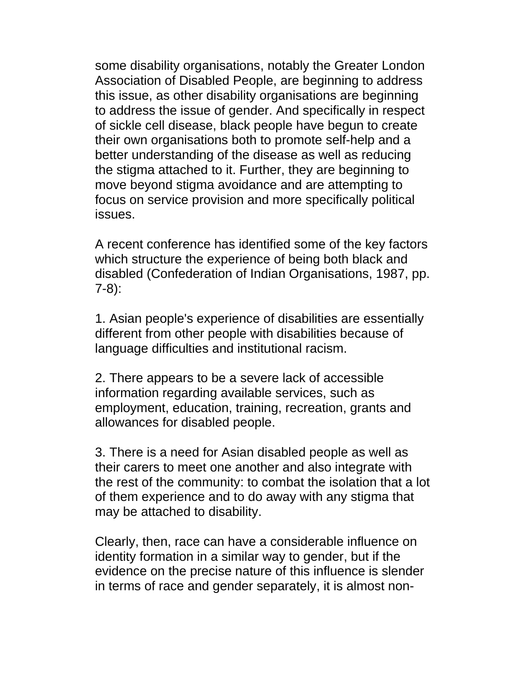some disability organisations, notably the Greater London Association of Disabled People, are beginning to address this issue, as other disability organisations are beginning to address the issue of gender. And specifically in respect of sickle cell disease, black people have begun to create their own organisations both to promote self-help and a better understanding of the disease as well as reducing the stigma attached to it. Further, they are beginning to move beyond stigma avoidance and are attempting to focus on service provision and more specifically political issues.

A recent conference has identified some of the key factors which structure the experience of being both black and disabled (Confederation of Indian Organisations, 1987, pp. 7-8):

1. Asian people's experience of disabilities are essentially different from other people with disabilities because of language difficulties and institutional racism.

2. There appears to be a severe lack of accessible information regarding available services, such as employment, education, training, recreation, grants and allowances for disabled people.

3. There is a need for Asian disabled people as well as their carers to meet one another and also integrate with the rest of the community: to combat the isolation that a lot of them experience and to do away with any stigma that may be attached to disability.

Clearly, then, race can have a considerable influence on identity formation in a similar way to gender, but if the evidence on the precise nature of this influence is slender in terms of race and gender separately, it is almost non-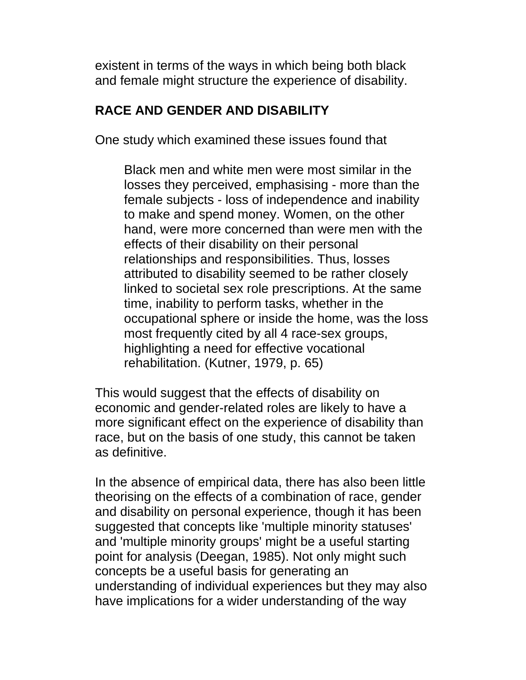existent in terms of the ways in which being both black and female might structure the experience of disability.

#### **RACE AND GENDER AND DISABILITY**

One study which examined these issues found that

Black men and white men were most similar in the losses they perceived, emphasising - more than the female subjects - loss of independence and inability to make and spend money. Women, on the other hand, were more concerned than were men with the effects of their disability on their personal relationships and responsibilities. Thus, losses attributed to disability seemed to be rather closely linked to societal sex role prescriptions. At the same time, inability to perform tasks, whether in the occupational sphere or inside the home, was the loss most frequently cited by all 4 race-sex groups, highlighting a need for effective vocational rehabilitation. (Kutner, 1979, p. 65)

This would suggest that the effects of disability on economic and gender-related roles are likely to have a more significant effect on the experience of disability than race, but on the basis of one study, this cannot be taken as definitive.

In the absence of empirical data, there has also been little theorising on the effects of a combination of race, gender and disability on personal experience, though it has been suggested that concepts like 'multiple minority statuses' and 'multiple minority groups' might be a useful starting point for analysis (Deegan, 1985). Not only might such concepts be a useful basis for generating an understanding of individual experiences but they may also have implications for a wider understanding of the way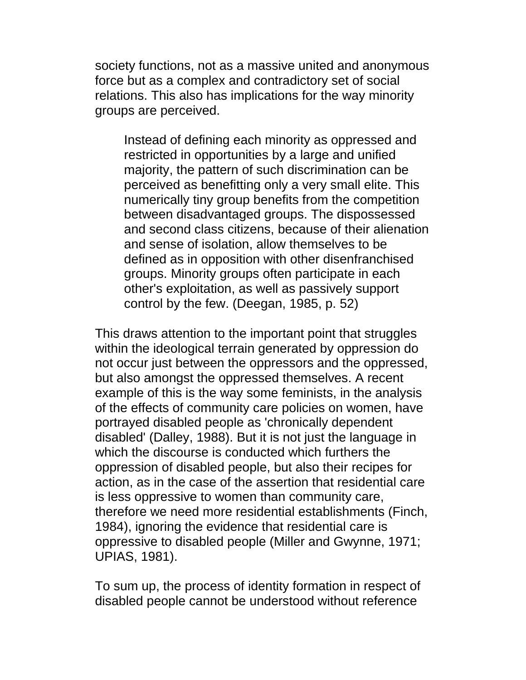society functions, not as a massive united and anonymous force but as a complex and contradictory set of social relations. This also has implications for the way minority groups are perceived.

Instead of defining each minority as oppressed and restricted in opportunities by a large and unified majority, the pattern of such discrimination can be perceived as benefitting only a very small elite. This numerically tiny group benefits from the competition between disadvantaged groups. The dispossessed and second class citizens, because of their alienation and sense of isolation, allow themselves to be defined as in opposition with other disenfranchised groups. Minority groups often participate in each other's exploitation, as well as passively support control by the few. (Deegan, 1985, p. 52)

This draws attention to the important point that struggles within the ideological terrain generated by oppression do not occur just between the oppressors and the oppressed, but also amongst the oppressed themselves. A recent example of this is the way some feminists, in the analysis of the effects of community care policies on women, have portrayed disabled people as 'chronically dependent disabled' (Dalley, 1988). But it is not just the language in which the discourse is conducted which furthers the oppression of disabled people, but also their recipes for action, as in the case of the assertion that residential care is less oppressive to women than community care, therefore we need more residential establishments (Finch, 1984), ignoring the evidence that residential care is oppressive to disabled people (Miller and Gwynne, 1971; UPIAS, 1981).

To sum up, the process of identity formation in respect of disabled people cannot be understood without reference